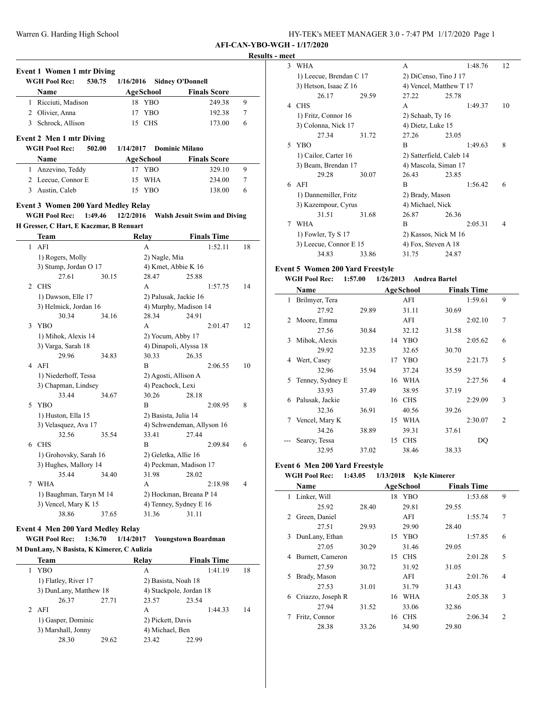| HY-TEK's MEET MANAGER 3.0 - 7:47 PM 1/17/2020 Page 1 |  |  |
|------------------------------------------------------|--|--|
|------------------------------------------------------|--|--|

#### **Results - meet**

|                | <b>Event 1 Women 1 mtr Diving</b>          |           |                   |                                     |                |
|----------------|--------------------------------------------|-----------|-------------------|-------------------------------------|----------------|
|                | <b>WGH Pool Rec:</b><br>530.75             | 1/16/2016 |                   | <b>Sidney O'Donnell</b>             |                |
|                | Name                                       |           | AgeSchool         | <b>Finals Score</b>                 |                |
|                | 1 Ricciuti, Madison                        |           | 18 YBO            | 249.38                              | 9              |
|                | 2 Olivier, Anna                            | 17        | <b>YBO</b>        | 192.38                              | 7              |
|                | 3 Schrock, Allison                         |           | 15 CHS            | 173.00                              | 6              |
|                | <b>Event 2 Men 1 mtr Diving</b>            |           |                   |                                     |                |
|                | <b>WGH Pool Rec:</b><br>502.00             | 1/14/2017 |                   | <b>Dominic Milano</b>               |                |
|                | Name                                       |           | AgeSchool         | <b>Finals Score</b>                 |                |
|                | 1 Anzevino, Teddy                          |           | 17 YBO            | 329.10                              | 9              |
|                | 2 Leecue, Connor E                         | 15        | <b>WHA</b>        | 234.00                              | 7              |
| 3              | Austin, Caleb                              | 15        | <b>YBO</b>        | 138.00                              | 6              |
|                | <b>Event 3 Women 200 Yard Medley Relay</b> |           |                   |                                     |                |
|                | <b>WGH Pool Rec:</b><br>1:49.46            | 12/2/2016 |                   | <b>Walsh Jesuit Swim and Diving</b> |                |
|                | H Gresser, C Hart, E Kaczmar, B Renuart    |           |                   |                                     |                |
|                | Team                                       | Relay     |                   | <b>Finals Time</b>                  |                |
| $\mathbf{1}$   | AFI                                        |           | А                 | 1:52.11                             | 18             |
|                | 1) Rogers, Molly                           |           | 2) Nagle, Mia     |                                     |                |
|                | 3) Stump, Jordan O 17                      |           |                   | 4) Kmet, Abbie K 16                 |                |
|                | 27.61                                      | 30.15     | 28.47             | 25.88                               |                |
|                | 2 CHS                                      |           | A                 | 1:57.75                             | 14             |
|                | 1) Dawson, Elle 17                         |           |                   | 2) Palusak, Jackie 16               |                |
|                | 3) Helmick, Jordan 16                      |           |                   | 4) Murphy, Madison 14               |                |
|                | 30.34                                      | 34.16     | 28.34             | 24.91                               |                |
| 3              | <b>YBO</b>                                 |           | A                 | 2:01.47                             | 12             |
|                | 1) Mihok, Alexis 14                        |           |                   | 2) Yocum, Abby 17                   |                |
|                | 3) Varga, Sarah 18                         |           |                   | 4) Dinapoli, Alyssa 18              |                |
|                | 29.96                                      | 34.83     | 30.33             | 26.35                               |                |
| $\overline{4}$ | AFI                                        |           | B                 | 2:06.55                             | 10             |
|                | 1) Niederhoff, Tessa                       |           |                   | 2) Agosti, Allison A                |                |
|                | 3) Chapman, Lindsey                        |           | 4) Peachock, Lexi |                                     |                |
|                | 33.44                                      | 34.67     | 30.26             | 28.18                               |                |
| 5              | <b>YBO</b>                                 |           | B                 | 2:08.95                             | 8              |
|                | 1) Huston, Ella 15                         |           |                   | 2) Basista, Julia 14                |                |
|                | 3) Velasquez, Ava 17                       |           |                   | 4) Schwendeman, Allyson 16          |                |
|                | 32.56                                      | 35.54     | 33.41             | 27.44                               |                |
|                | 6 CHS                                      |           | B                 | 2:09.84                             | 6              |
|                | 1) Grohovsky, Sarah 16                     |           |                   | 2) Geletka, Allie 16                |                |
|                | 3) Hughes, Mallory 14                      |           |                   | 4) Peckman, Madison 17              |                |
|                | 35.44                                      | 34.40     | 31.98             | 28.02                               |                |
| 7              | <b>WHA</b>                                 |           | A                 | 2:18.98                             | $\overline{4}$ |
|                | 1) Baughman, Taryn M 14                    |           |                   | 2) Hockman, Breana P 14             |                |
|                | 3) Vencel, Mary K 15                       |           |                   | 4) Tenney, Sydney E 16              |                |
|                | 38.86                                      | 37.65     | 31.36             | 31.11                               |                |
|                |                                            |           |                   |                                     |                |

# **Event 4 Men 200 Yard Medley Relay**

# **WGH Pool Rec: 1:36.70 1/14/2017 Youngstown Boardman M DunLany, N Basista, K Kimerer, C Aulizia**

| Team                   |       | Relay                   | <b>Finals Time</b> |         |    |
|------------------------|-------|-------------------------|--------------------|---------|----|
| YBO                    |       | А                       |                    | 1:41.19 | 18 |
| 1) Flatley, River 17   |       | 2) Basista, Noah 18     |                    |         |    |
| 3) DunLany, Matthew 18 |       | 4) Stackpole, Jordan 18 |                    |         |    |
| 26.37                  | 27.71 | 23.57                   | 23.54              |         |    |
| 2 AFI                  |       | A                       |                    | 1:44.33 | 14 |
| 1) Gasper, Dominic     |       | 2) Pickett, Davis       |                    |         |    |
| 3) Marshall, Jonny     |       | 4) Michael, Ben         |                    |         |    |
| 28.30                  | 29.62 | 23.42                   | 22.99              |         |    |

| 3  | WHA                     |       | A                        |       | 1:48.76 | 12 |  |
|----|-------------------------|-------|--------------------------|-------|---------|----|--|
|    | 1) Leecue, Brendan C 17 |       | 2) DiCenso, Tino J 17    |       |         |    |  |
|    | 3) Hetson, Isaac Z 16   |       | 4) Vencel, Matthew T 17  |       |         |    |  |
|    | 26.17                   | 29.59 | 27.22                    | 25.78 |         |    |  |
| 4  | <b>CHS</b>              |       | A                        |       | 1:49.37 | 10 |  |
|    | 1) Fritz, Connor 16     |       | $2)$ Schaab, Ty 16       |       |         |    |  |
|    | 3) Colonna, Nick 17     |       | 4) Dietz, Luke 15        |       |         |    |  |
|    | 27.34                   | 31.72 | 27.26                    | 23.05 |         |    |  |
| 5. | <b>YBO</b>              |       | R                        |       | 1:49.63 | 8  |  |
|    | 1) Cailor, Carter 16    |       | 2) Satterfield, Caleb 14 |       |         |    |  |
|    | 3) Beam, Brendan 17     |       | 4) Mascola, Siman 17     |       |         |    |  |
|    | 29.28                   | 30.07 | 26.43                    | 23.85 |         |    |  |
|    | 6 AFI                   |       | R                        |       | 1:56.42 | 6  |  |
|    | 1) Dannemiller, Fritz   |       | 2) Brady, Mason          |       |         |    |  |
|    | 3) Kazempour, Cyrus     |       | 4) Michael, Nick         |       |         |    |  |
|    | 31.51                   | 31.68 | 26.87                    | 26.36 |         |    |  |
| 7  | <b>WHA</b>              |       | B                        |       | 2:05.31 | 4  |  |
|    | 1) Fowler, Ty S 17      |       | 2) Kassos, Nick M 16     |       |         |    |  |
|    | 3) Leecue, Connor E 15  |       | 4) Fox, Steven A 18      |       |         |    |  |
|    | 34.83                   | 33.86 | 31.75                    | 24.87 |         |    |  |

# **Event 5 Women 200 Yard Freestyle**

|             | <b>WGH Pool Rec:</b> | 1:57.00 | 1/26/2013 |            | <b>Andrea Bartel</b> |                    |                |
|-------------|----------------------|---------|-----------|------------|----------------------|--------------------|----------------|
|             | Name                 |         |           | AgeSchool  |                      | <b>Finals Time</b> |                |
| 1           | Brilmyer, Tera       |         |           | AFI        |                      | 1:59.61            | 9              |
|             | 27.92                | 29.89   |           | 31.11      | 30.69                |                    |                |
| $2^{\circ}$ | Moore, Emma          |         |           | AFI        |                      | 2:02.10            | 7              |
|             | 27.56                | 30.84   |           | 32.12      | 31.58                |                    |                |
| 3           | Mihok, Alexis        |         |           | 14 YBO     |                      | 2:05.62            | 6              |
|             | 29.92                | 32.35   |           | 32.65      | 30.70                |                    |                |
| 4           | Wert, Casey          |         | 17        | <b>YBO</b> |                      | 2:21.73            | 5              |
|             | 32.96                | 35.94   |           | 37.24      | 35.59                |                    |                |
| 5.          | Tenney, Sydney E     |         | 16        | WHA        |                      | 2:27.56            | 4              |
|             | 33.93                | 37.49   |           | 38.95      | 37.19                |                    |                |
| 6           | Palusak, Jackie      |         | 16        | <b>CHS</b> |                      | 2:29.09            | 3              |
|             | 32.36                | 36.91   |           | 40.56      | 39.26                |                    |                |
| 7           | Vencel, Mary K       |         | 15        | <b>WHA</b> |                      | 2:30.07            | $\overline{c}$ |
|             | 34.26                | 38.89   |           | 39.31      | 37.61                |                    |                |
|             | Searcy, Tessa        |         | 15        | <b>CHS</b> |                      | DQ                 |                |
|             | 32.95                | 37.02   |           | 38.46      | 38.33                |                    |                |

# **Event 6 Men 200 Yard Freestyle**

 $\sim$ 

## **WGH Pool Rec: 1:43.05 1/13/2018 Kyle Kimerer**

|   | Name              |       |    | <b>AgeSchool</b> |       | <b>Finals Time</b> |                |
|---|-------------------|-------|----|------------------|-------|--------------------|----------------|
| 1 | Linker, Will      |       | 18 | YBO              |       | 1:53.68            | 9              |
|   | 25.92             | 28.40 |    | 29.81            | 29.55 |                    |                |
| 2 | Green, Daniel     |       |    | AFI              |       | 1:55.74            | 7              |
|   | 27.51             | 29.93 |    | 29.90            | 28.40 |                    |                |
| 3 | DunLany, Ethan    |       | 15 | <b>YBO</b>       |       | 1:57.85            | 6              |
|   | 27.05             | 30.29 |    | 31.46            | 29.05 |                    |                |
| 4 | Burnett, Cameron  |       | 15 | <b>CHS</b>       |       | 2:01.28            | 5              |
|   | 27.59             | 30.72 |    | 31.92            | 31.05 |                    |                |
| 5 | Brady, Mason      |       |    | AFI              |       | 2:01.76            | $\overline{4}$ |
|   | 27.53             | 31.01 |    | 31.79            | 31.43 |                    |                |
| 6 | Criazzo, Joseph R |       | 16 | WHA              |       | 2:05.38            | 3              |
|   | 27.94             | 31.52 |    | 33.06            | 32.86 |                    |                |
| 7 | Fritz, Connor     |       | 16 | <b>CHS</b>       |       | 2:06.34            | $\overline{2}$ |
|   | 28.38             | 33.26 |    | 34.90            | 29.80 |                    |                |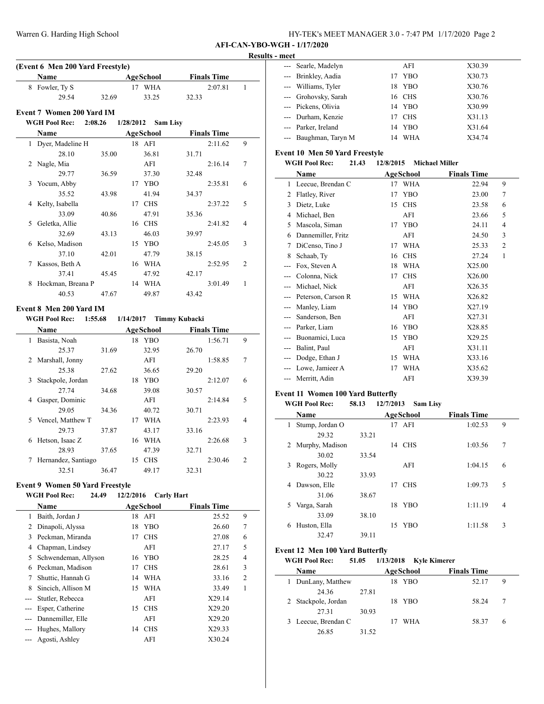| HY-TEK's MEET MANAGER 3.0 - 7:47 PM 1/17/2020 Page 2 |  |
|------------------------------------------------------|--|
|------------------------------------------------------|--|

#### **Results - meet**

|    | (Event 6 Men 200 Yard Freestyle) |         |           |                  |                 |                    |                |
|----|----------------------------------|---------|-----------|------------------|-----------------|--------------------|----------------|
|    | <b>Name</b>                      |         |           | <b>AgeSchool</b> |                 | <b>Finals Time</b> |                |
|    | 8 Fowler, Ty S                   |         | 17        | <b>WHA</b>       |                 | 2:07.81            | 1              |
|    | 29.54                            | 32.69   |           | 33.25            | 32.33           |                    |                |
|    | Event 7 Women 200 Yard IM        |         |           |                  |                 |                    |                |
|    | <b>WGH Pool Rec:</b>             | 2:08.26 | 1/28/2012 |                  | <b>Sam Lisy</b> |                    |                |
|    | Name                             |         |           | AgeSchool        |                 | <b>Finals Time</b> |                |
| 1  | Dyer, Madeline H                 |         |           | 18 AFI           |                 | 2:11.62            | 9              |
|    | 28.10                            | 35.00   |           | 36.81            | 31.71           |                    |                |
| 2  | Nagle, Mia                       |         |           | AFI              |                 | 2:16.14            | 7              |
|    | 29.77                            | 36.59   |           | 37.30            | 32.48           |                    |                |
|    | 3 Yocum, Abby                    |         |           | 17 YBO           |                 | 2:35.81            | 6              |
|    | 35.52                            | 43.98   |           | 41.94            | 34.37           |                    |                |
|    | 4 Kelty, Isabella                |         | 17        | <b>CHS</b>       |                 | 2:37.22            | 5              |
|    | 33.09                            | 40.86   |           | 47.91            | 35.36           |                    |                |
| 5. | Geletka, Allie                   |         |           | 16 CHS           |                 | 2:41.82            | 4              |
|    | 32.69                            | 43.13   |           | 46.03            | 39.97           |                    |                |
| 6  | Kelso, Madison                   |         | 15        | <b>YBO</b>       |                 | 2:45.05            | 3              |
|    | 37.10                            | 42.01   |           | 47.79            | 38.15           |                    |                |
| 7  | Kassos, Beth A                   |         | 16        | <b>WHA</b>       |                 | 2:52.95            | $\overline{2}$ |
|    | 37.41                            | 45.45   |           | 47.92            | 42.17           |                    |                |
| 8  | Hockman, Breana P                |         | 14        | <b>WHA</b>       |                 | 3:01.49            | 1              |
|    | 40.53                            | 47.67   |           | 49.87            | 43.42           |                    |                |

# **Event 8 Men 200 Yard IM**

**WGH Pool Rec: 1:55.68 1/14/2017 Timmy Kubacki**

|    | <b>Name</b>         |       |    | AgeSchool  |       | <b>Finals Time</b> |                |
|----|---------------------|-------|----|------------|-------|--------------------|----------------|
| 1  | Basista, Noah       |       | 18 | <b>YBO</b> |       | 1:56.71            | 9              |
|    | 25.37               | 31.69 |    | 32.95      | 26.70 |                    |                |
| 2  | Marshall, Jonny     |       |    | AFI        |       | 1:58.85            | 7              |
|    | 25.38               | 27.62 |    | 36.65      | 29.20 |                    |                |
| 3  | Stackpole, Jordan   |       | 18 | <b>YBO</b> |       | 2:12.07            | 6              |
|    | 27.74               | 34.68 |    | 39.08      | 30.57 |                    |                |
| 4  | Gasper, Dominic     |       |    | AFI        |       | 2:14.84            | 5              |
|    | 29.05               | 34.36 |    | 40.72      | 30.71 |                    |                |
| 5. | Vencel, Matthew T   |       | 17 | <b>WHA</b> |       | 2:23.93            | 4              |
|    | 29.73               | 37.87 |    | 43.17      | 33.16 |                    |                |
| 6  | Hetson, Isaac Z     |       | 16 | <b>WHA</b> |       | 2:26.68            | 3              |
|    | 28.93               | 37.65 |    | 47.39      | 32.71 |                    |                |
| 7  | Hernandez, Santiago |       | 15 | <b>CHS</b> |       | 2:30.46            | $\overline{c}$ |
|    | 32.51               | 36.47 |    | 49.17      | 32.31 |                    |                |

## **Event 9 Women 50 Yard Freestyle**

# **WGH Pool Rec: 24.49 12/2/2016 Carly Hart**

| <b>Name</b>          |    |            | <b>Finals Time</b>                           |                |  |
|----------------------|----|------------|----------------------------------------------|----------------|--|
| Baith, Jordan J      | 18 |            | 25.52                                        | 9              |  |
| Dinapoli, Alyssa     | 18 | <b>YBO</b> | 26.60                                        | 7              |  |
| Peckman, Miranda     | 17 | <b>CHS</b> | 27.08                                        | 6              |  |
| Chapman, Lindsey     |    | AFI        | 27.17                                        | 5              |  |
| Schwendeman, Allyson | 16 |            | 28.25                                        | 4              |  |
| Peckman, Madison     | 17 | <b>CHS</b> | 28.61                                        | 3              |  |
| Shuttic, Hannah G    | 14 | WHA        | 33.16                                        | $\overline{c}$ |  |
| Sincich, Allison M   | 15 | <b>WHA</b> | 33.49                                        | 1              |  |
| Stutler, Rebecca     |    | AFI        | X29.14                                       |                |  |
| Esper, Catherine     | 15 |            | X29.20                                       |                |  |
| Dannemiller, Elle    |    | AFI        | X29.20                                       |                |  |
| Hughes, Mallory      | 14 | <b>CHS</b> | X29.33                                       |                |  |
| Agosti, Ashley       |    | AFI        | X30.24                                       |                |  |
|                      |    |            | AgeSchool<br>AFI<br><b>YBO</b><br><b>CHS</b> |                |  |

| --- Searle, Madelyn   |    | AFI        | X30.39 |
|-----------------------|----|------------|--------|
| --- Brinkley, Aadia   | 17 | YBO        | X30.73 |
| --- Williams, Tyler   |    | 18 YBO     | X30.76 |
| --- Grohovsky, Sarah  |    | 16 CHS     | X30.76 |
| --- Pickens, Olivia   |    | 14 YBO     | X30.99 |
| --- Durham, Kenzie    | 17 | <b>CHS</b> | X31.13 |
| --- Parker, Ireland   |    | 14 YBO     | X31.64 |
| --- Baughman, Taryn M | 14 | WHA        | X34.74 |

# **Event 10 Men 50 Yard Freestyle**

## **WGH Pool Rec: 21.43 12/8/2015 Michael Miller**

|               | Name               |    | <b>AgeSchool</b> | <b>Finals Time</b> |                |
|---------------|--------------------|----|------------------|--------------------|----------------|
| 1             | Leecue, Brendan C  | 17 | <b>WHA</b>       | 22.94              | 9              |
| $\mathcal{L}$ | Flatley, River     | 17 | <b>YBO</b>       | 23.00              | 7              |
| 3             | Dietz, Luke        | 15 | <b>CHS</b>       | 23.58              | 6              |
| 4             | Michael, Ben       |    | AFI              | 23.66              | 5              |
| 5             | Mascola, Siman     | 17 | <b>YBO</b>       | 24.11              | 4              |
| 6             | Dannemiller, Fritz |    | AFI              | 24.50              | 3              |
| 7             | DiCenso, Tino J    | 17 | <b>WHA</b>       | 25.33              | $\overline{2}$ |
| 8             | Schaab, Ty         | 16 | <b>CHS</b>       | 27.24              | 1              |
| ---           | Fox, Steven A      | 18 | WHA              | X25.00             |                |
| ---           | Colonna, Nick      | 17 | <b>CHS</b>       | X26.00             |                |
| ---           | Michael, Nick      |    | AFI              | X26.35             |                |
| ---           | Peterson, Carson R | 15 | <b>WHA</b>       | X26.82             |                |
| ---           | Manley, Liam       | 14 | <b>YBO</b>       | X27.19             |                |
| $---$         | Sanderson, Ben     |    | AFI              | X27.31             |                |
| ---           | Parker, Liam       | 16 | <b>YBO</b>       | X28.85             |                |
| $---$         | Buonamici, Luca    | 15 | <b>YBO</b>       | X29.25             |                |
| ---           | Balint, Paul       |    | AFI              | X31.11             |                |
| ---           | Dodge, Ethan J     | 15 | <b>WHA</b>       | X33.16             |                |
|               | Lowe, Jamieer A    | 17 | <b>WHA</b>       | X35.62             |                |
|               | Merritt, Adin      |    | AFI              | X39.39             |                |

## **Event 11 Women 100 Yard Butterfly**

# **WGH Pool Rec: 58.13 12/7/2013 Sam Lisy**

| <b>Name</b>          |       | AgeSchool        | <b>Finals Time</b> |                |
|----------------------|-------|------------------|--------------------|----------------|
| Stump, Jordan O<br>1 |       | $17$ AFI         | 1:02.53            | 9              |
| 29.32                | 33.21 |                  |                    |                |
| Murphy, Madison<br>2 |       | <b>CHS</b><br>14 | 1:03.56            | 7              |
| 30.02                | 33.54 |                  |                    |                |
| Rogers, Molly<br>3   |       | AFI              | 1:04.15            | 6              |
| 30.22                | 33.93 |                  |                    |                |
| Dawson, Elle<br>4    |       | <b>CHS</b><br>17 | 1:09.73            | 5              |
| 31.06                | 38.67 |                  |                    |                |
| Varga, Sarah<br>5.   |       | <b>YBO</b><br>18 | 1:11.19            | $\overline{4}$ |
| 33.09                | 38.10 |                  |                    |                |
| Huston, Ella<br>6    |       | 15<br><b>YBO</b> | 1:11.58            | 3              |
| 32.47                | 39.11 |                  |                    |                |

## **Event 12 Men 100 Yard Butterfly**

## **WGH Pool Rec: 51.05 1/13/2018 Kyle Kimerer**

|   | <b>Name</b>         |       |    | AgeSchool  | <b>Finals Time</b> |   |
|---|---------------------|-------|----|------------|--------------------|---|
| 1 | DunLany, Matthew    |       | 18 | <b>YBO</b> | 52.17              | 9 |
|   | 24.36               | 27.81 |    |            |                    |   |
|   | 2 Stackpole, Jordan |       | 18 | <b>YBO</b> | 58.24              |   |
|   | 27.31               | 30.93 |    |            |                    |   |
|   | 3 Leecue, Brendan C |       |    | <b>WHA</b> | 58.37              | h |
|   | 26.85               | 31.52 |    |            |                    |   |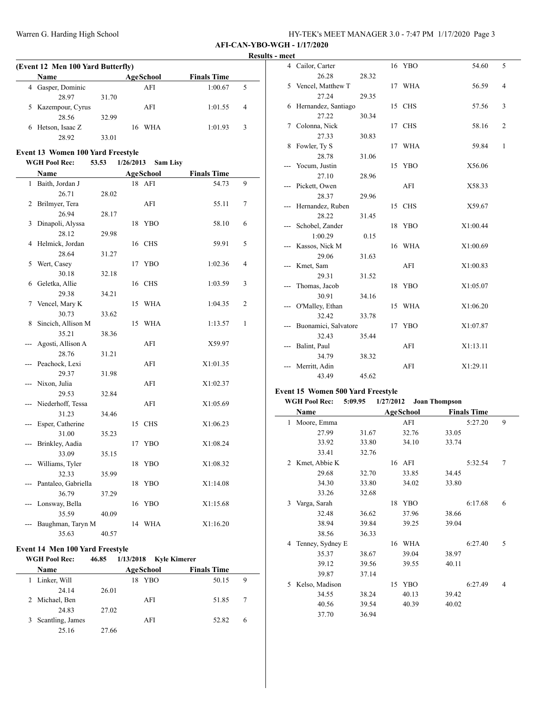# Warren G. Harding High School National Metal HY-TEK's MEET MANAGER 3.0 - 7:47 PM 1/17/2020 Page 3

# **AFI-CAN-YBO-WGH - 1/17/2020**

#### **Results - meet**

| (Event 12 Men 100 Yard Butterfly) |                    |       |           |                    |   |  |  |  |
|-----------------------------------|--------------------|-------|-----------|--------------------|---|--|--|--|
|                                   | <b>Name</b>        |       | AgeSchool | <b>Finals Time</b> |   |  |  |  |
|                                   | Gasper, Dominic    |       | AFI       | 1:00.67            | 5 |  |  |  |
|                                   | 28.97              | 31.70 |           |                    |   |  |  |  |
|                                   | 5 Kazempour, Cyrus |       | AFI       | 1:01.55            | 4 |  |  |  |
|                                   | 28.56              | 32.99 |           |                    |   |  |  |  |
| 6                                 | Hetson, Isaac Z    |       | WHA<br>16 | 1:01.93            | 3 |  |  |  |
|                                   | 28.92              | 33.01 |           |                    |   |  |  |  |

# **Event 13 Women 100 Yard Freestyle**

 $\overline{a}$ 

# **WGH Pool Rec: 53.53 1/26/2013 Sam Lisy**

|              | <b>Name</b>           |       |    | <b>AgeSchool</b> | <b>Finals Time</b> |                |
|--------------|-----------------------|-------|----|------------------|--------------------|----------------|
| $\mathbf{1}$ | Baith, Jordan J       |       |    | 18 AFI           | 54.73              | 9              |
|              | 26.71                 | 28.02 |    |                  |                    |                |
| 2            | Brilmyer, Tera        |       |    | AFI              | 55.11              | 7              |
|              | 26.94                 | 28.17 |    |                  |                    |                |
| 3            | Dinapoli, Alyssa      |       | 18 | YBO              | 58.10              | 6              |
|              | 28.12                 | 29.98 |    |                  |                    |                |
| 4            | Helmick, Jordan       |       |    | 16 CHS           | 59.91              | 5              |
|              | 28.64                 | 31.27 |    |                  |                    |                |
| 5            | Wert, Casey           |       | 17 | <b>YBO</b>       | 1:02.36            | 4              |
|              | 30.18                 | 32.18 |    |                  |                    |                |
| 6            | Geletka, Allie        |       |    | 16 CHS           | 1:03.59            | 3              |
|              | 29.38                 | 34.21 |    |                  |                    |                |
| 7            | Vencel, Mary K        |       | 15 | <b>WHA</b>       | 1:04.35            | $\overline{2}$ |
|              | 30.73                 | 33.62 |    |                  |                    |                |
| 8            | Sincich, Allison M    |       | 15 | <b>WHA</b>       | 1:13.57            | 1              |
|              | 35.21                 | 38.36 |    |                  |                    |                |
|              | Agosti, Allison A     |       |    | AFI              | X59.97             |                |
|              | 28.76                 | 31.21 |    |                  |                    |                |
|              | Peachock, Lexi        |       |    | AFI              | X1:01.35           |                |
|              | 29.37                 | 31.98 |    |                  |                    |                |
|              | --- Nixon, Julia      |       |    | AFI              | X1:02.37           |                |
|              | 29.53                 | 32.84 |    |                  |                    |                |
|              | --- Niederhoff, Tessa |       |    | AFI              | X1:05.69           |                |
|              | 31.23                 | 34.46 |    |                  |                    |                |
|              | Esper, Catherine      |       | 15 | <b>CHS</b>       | X1:06.23           |                |
|              | 31.00                 | 35.23 |    |                  |                    |                |
|              | Brinkley, Aadia       |       | 17 | YBO              | X1:08.24           |                |
|              | 33.09                 | 35.15 |    |                  |                    |                |
|              | Williams, Tyler       |       | 18 | YBO              | X1:08.32           |                |
|              | 32.33                 | 35.99 |    |                  |                    |                |
|              | Pantaleo, Gabriella   |       | 18 | YBO              | X1:14.08           |                |
|              | 36.79                 | 37.29 |    |                  |                    |                |
|              | Lonsway, Bella        |       | 16 | YBO              | X1:15.68           |                |
|              | 35.59                 | 40.09 |    |                  |                    |                |
|              | Baughman, Taryn M     |       | 14 | <b>WHA</b>       | X1:16.20           |                |
|              | 35.63                 | 40.57 |    |                  |                    |                |

## **Event 14 Men 100 Yard Freestyle**

|    | WGH Pool Rec:      | 46.85 | 1/13/2018 | Kvle Kimerer |                    |   |
|----|--------------------|-------|-----------|--------------|--------------------|---|
|    | <b>Name</b>        |       | AgeSchool |              | <b>Finals Time</b> |   |
| 1. | Linker, Will       |       | 18 YBO    |              | 50.15              | 9 |
|    | 24.14              | 26.01 |           |              |                    |   |
|    | 2 Michael, Ben     |       | AFI       |              | 51.85              | 7 |
|    | 24.83              | 27.02 |           |              |                    |   |
|    | 3 Scantling, James |       | AFI       |              | 52.82              | 6 |
|    | 25.16              | 27.66 |           |              |                    |   |

| 11 U U |                      |       |        |          |                |
|--------|----------------------|-------|--------|----------|----------------|
|        | 4 Cailor, Carter     |       | 16 YBO | 54.60    | 5              |
|        | 26.28                | 28.32 |        |          |                |
|        | 5 Vencel, Matthew T  |       | 17 WHA | 56.59    | $\overline{4}$ |
|        | 27.24                | 29.35 |        |          |                |
| 6      | Hernandez, Santiago  |       | 15 CHS | 57.56    | 3              |
|        | 27.22                | 30.34 |        |          |                |
| 7      | Colonna, Nick        |       | 17 CHS | 58.16    | 2              |
|        | 27.33                | 30.83 |        |          |                |
| 8      | Fowler, Ty S         |       | 17 WHA | 59.84    | 1              |
|        | 28.78                | 31.06 |        |          |                |
|        | Yocum, Justin        |       | 15 YBO | X56.06   |                |
|        | 27.10                | 28.96 |        |          |                |
|        | Pickett, Owen        |       | AFI    | X58.33   |                |
|        | 28.37                | 29.96 |        |          |                |
|        | Hernandez, Ruben     |       | 15 CHS | X59.67   |                |
|        | 28.22                | 31.45 |        |          |                |
|        | Schobel, Zander      |       | 18 YBO | X1:00.44 |                |
|        | 1:00.29              | 0.15  |        |          |                |
|        | --- Kassos, Nick M   |       | 16 WHA | X1:00.69 |                |
|        | 29.06                | 31.63 |        |          |                |
|        | Kmet, Sam            |       | AFI    | X1:00.83 |                |
|        | 29.31                | 31.52 |        |          |                |
|        | Thomas, Jacob        |       | 18 YBO | X1:05.07 |                |
|        | 30.91                | 34.16 |        |          |                |
|        | O'Malley, Ethan      |       | 15 WHA | X1:06.20 |                |
|        | 32.42                | 33.78 |        |          |                |
|        | Buonamici, Salvatore |       | 17 YBO | X1:07.87 |                |
|        | 32.43                | 35.44 |        |          |                |
|        | Balint, Paul         |       | AFI    | X1:13.11 |                |
|        | 34.79                | 38.32 |        |          |                |
|        | Merritt, Adin        |       | AFI    | X1:29.11 |                |
|        | 43.49                | 45.62 |        |          |                |

# **Event 15 Women 500 Yard Freestyle**<br>WGH Pool Rec: 5:09.95 1/27/2012

 $\overline{\phantom{0}}$ 

| <b>WGH Pool Rec:</b>  | 5:09.95 | 1/27/2012        | <b>Joan Thompson</b> |                    |   |
|-----------------------|---------|------------------|----------------------|--------------------|---|
| Name                  |         | AgeSchool        |                      | <b>Finals Time</b> |   |
| Moore, Emma<br>1      |         | AFI              |                      | 5:27.20            | 9 |
| 27.99                 | 31.67   | 32.76            | 33.05                |                    |   |
| 33.92                 | 33.80   | 34.10            | 33.74                |                    |   |
| 33.41                 | 32.76   |                  |                      |                    |   |
| Kmet, Abbie K<br>2    |         | AFI<br>16        |                      | 5:32.54            | 7 |
| 29.68                 | 32.70   | 33.85            | 34.45                |                    |   |
| 34.30                 | 33.80   | 34.02            | 33.80                |                    |   |
| 33.26                 | 32.68   |                  |                      |                    |   |
| Varga, Sarah<br>3     |         | <b>YBO</b><br>18 |                      | 6:17.68            | 6 |
| 32.48                 | 36.62   | 37.96            | 38.66                |                    |   |
| 38.94                 | 39.84   | 39.25            | 39.04                |                    |   |
| 38.56                 | 36.33   |                  |                      |                    |   |
| Tenney, Sydney E<br>4 |         | <b>WHA</b><br>16 |                      | 6:27.40            | 5 |
| 35.37                 | 38.67   | 39.04            | 38.97                |                    |   |
| 39.12                 | 39.56   | 39.55            | 40.11                |                    |   |
| 39.87                 | 37.14   |                  |                      |                    |   |
| Kelso, Madison<br>5   |         | <b>YBO</b><br>15 |                      | 6:27.49            | 4 |
| 34.55                 | 38.24   | 40.13            | 39.42                |                    |   |
| 40.56                 | 39.54   | 40.39            | 40.02                |                    |   |
| 37.70                 | 36.94   |                  |                      |                    |   |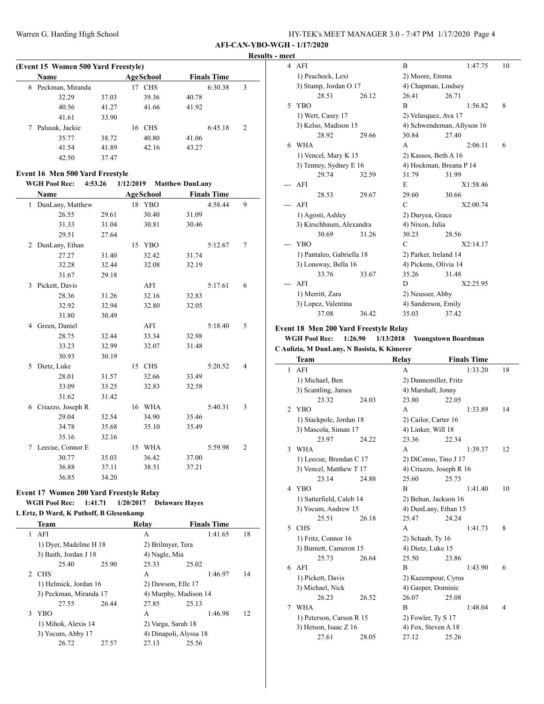| HY-TEK's MEET MANAGER 3.0 - 7:47 PM 1/17/2020 Page 4 |  |
|------------------------------------------------------|--|
|------------------------------------------------------|--|

#### **Results - meet**

| (Event 15 Women 500 Yard Freestyle) |                  |       |    |            |       |                    |   |  |
|-------------------------------------|------------------|-------|----|------------|-------|--------------------|---|--|
|                                     | Name             |       |    | AgeSchool  |       | <b>Finals Time</b> |   |  |
| 6                                   | Peckman, Miranda |       | 17 | <b>CHS</b> |       | 6:30.38            | 3 |  |
|                                     | 32.29            | 37.03 |    | 39.36      | 40.78 |                    |   |  |
|                                     | 40.56            | 41.27 |    | 41.66      | 41.92 |                    |   |  |
|                                     | 41.61            | 33.90 |    |            |       |                    |   |  |
|                                     | Palusak, Jackie  |       | 16 | <b>CHS</b> |       | 6:45.18            | 2 |  |
|                                     | 35.77            | 38.72 |    | 40.80      | 41.06 |                    |   |  |
|                                     | 41.54            | 41.89 |    | 42.16      | 43.27 |                    |   |  |
|                                     | 42.50            | 37.47 |    |            |       |                    |   |  |

## **Event 16 Men 500 Yard Freestyle**

## **WGH Pool Rec: 4:53.26 1/12/2019 Matthew DunLany**

|              | Name              |       |    | <b>AgeSchool</b> |       | <b>Finals Time</b> |   |
|--------------|-------------------|-------|----|------------------|-------|--------------------|---|
| $\mathbf{1}$ | DunLany, Matthew  |       |    | 18 YBO           |       | 4:58.44            | 9 |
|              | 26.55             | 29.61 |    | 30.40            | 31.09 |                    |   |
|              | 31.33             | 31.04 |    | 30.81            | 30.46 |                    |   |
|              | 29.51             | 27.64 |    |                  |       |                    |   |
| 2            | DunLany, Ethan    |       | 15 | <b>YBO</b>       |       | 5:12.67            | 7 |
|              | 27.27             | 31.40 |    | 32.42            | 31.74 |                    |   |
|              | 32.28             | 32.44 |    | 32.08            | 32.19 |                    |   |
|              | 31.67             | 29.18 |    |                  |       |                    |   |
| 3            | Pickett, Davis    |       |    | AFI              |       | 5:17.61            | 6 |
|              | 28.36             | 31.26 |    | 32.16            | 32.83 |                    |   |
|              | 32.92             | 32.94 |    | 32.80            | 32.05 |                    |   |
|              | 31.80             | 30.49 |    |                  |       |                    |   |
| 4            | Green, Daniel     |       |    | AFI              |       | 5:18.40            | 5 |
|              | 28.75             | 32.44 |    | 33.34            | 32.98 |                    |   |
|              | 33.23             | 32.99 |    | 32.07            | 31.48 |                    |   |
|              | 30.93             | 30.19 |    |                  |       |                    |   |
| 5            | Dietz, Luke       |       |    | 15 CHS           |       | 5:20.52            | 4 |
|              | 28.01             | 31.57 |    | 32.66            | 33.49 |                    |   |
|              | 33.09             | 33.25 |    | 32.83            | 32.58 |                    |   |
|              | 31.62             | 31.42 |    |                  |       |                    |   |
| 6            | Criazzo, Joseph R |       | 16 | WHA              |       | 5:40.31            | 3 |
|              | 29.04             | 32.54 |    | 34.90            | 35.46 |                    |   |
|              | 34.78             | 35.68 |    | 35.10            | 35.49 |                    |   |
|              | 35.16             | 32.16 |    |                  |       |                    |   |
| 7            | Leecue, Connor E  |       | 15 | <b>WHA</b>       |       | 5:59.98            | 2 |
|              | 30.77             | 35.03 |    | 36.42            | 37.00 |                    |   |
|              | 36.88             | 37.11 |    | 38.51            | 37.21 |                    |   |
|              | 36.85             | 34.20 |    |                  |       |                    |   |

## **Event 17 Women 200 Yard Freestyle Relay**

## **WGH Pool Rec: 1:41.71 1/20/2017 Delaware Hayes**

**L Ertz, D Ward, K Puthoff, B Glesenkamp**

|                | Team                   |       | Relay              | <b>Finals Time</b>     |    |
|----------------|------------------------|-------|--------------------|------------------------|----|
| 1              | AFI                    |       | А                  | 1:41.65                | 18 |
|                | 1) Dyer, Madeline H 18 |       | 2) Brilmyer, Tera  |                        |    |
|                | 3) Baith, Jordan J 18  |       | 4) Nagle, Mia      |                        |    |
|                | 25.40                  | 25.90 | 25.33              | 25.02                  |    |
| $\mathfrak{D}$ | <b>CHS</b>             |       | A                  | 1:46.97                | 14 |
|                | 1) Helmick, Jordan 16  |       | 2) Dawson, Elle 17 |                        |    |
|                | 3) Peckman, Miranda 17 |       |                    | 4) Murphy, Madison 14  |    |
|                | 27.55                  | 26.44 | 27.85              | 25.13                  |    |
| 3              | <b>YBO</b>             |       | A                  | 1:46.98                | 12 |
|                | 1) Mihok, Alexis 14    |       | 2) Varga, Sarah 18 |                        |    |
|                | 3) Yocum, Abby 17      |       |                    | 4) Dinapoli, Alyssa 18 |    |
|                | 26.72                  | 27.57 | 27.13              | 25.56                  |    |
|                |                        |       |                    |                        |    |

| $\overline{4}$ | AFI                       |       | B                       | 1:47.75                    | 10 |
|----------------|---------------------------|-------|-------------------------|----------------------------|----|
|                | 1) Peachock, Lexi         |       | 2) Moore, Emma          |                            |    |
|                | 3) Stump, Jordan O 17     |       | 4) Chapman, Lindsey     |                            |    |
|                | 28.51                     | 26.12 | 26.41                   | 26.71                      |    |
| 5              | <b>YBO</b>                |       | B                       | 1:56.82                    | 8  |
|                | 1) Wert, Casey 17         |       | 2) Velasquez, Ava 17    |                            |    |
|                | 3) Kelso, Madison 15      |       |                         | 4) Schwendeman, Allyson 16 |    |
|                | 28.92                     | 29.66 | 30.84                   | 27.40                      |    |
| 6              | <b>WHA</b>                |       | A                       | 2:06.11                    | 6  |
|                | 1) Vencel, Mary K 15      |       | 2) Kassos, Beth A 16    |                            |    |
|                | 3) Tenney, Sydney E 16    |       | 4) Hockman, Breana P 14 |                            |    |
|                | 29.74                     | 32.59 | 31.79                   | 31.99                      |    |
|                | AFI                       |       | E                       | X1:58.46                   |    |
|                | 28.53                     | 29.67 | 29.60                   | 30.66                      |    |
|                | AFI                       |       | $\mathbf C$             | X2:00.74                   |    |
|                | 1) Agosti, Ashley         |       | 2) Duryea, Grace        |                            |    |
|                | 3) Kirschbaum, Alexandra  |       | 4) Nixon, Julia         |                            |    |
|                | 30.69                     | 31.26 | 30.23                   | 28.56                      |    |
|                | <b>YBO</b>                |       | $\mathbf C$             | X2:14.17                   |    |
|                | 1) Pantaleo, Gabriella 18 |       | 2) Parker, Ireland 14   |                            |    |
|                | 3) Lonsway, Bella 16      |       | 4) Pickens, Olivia 14   |                            |    |
|                | 33.76                     | 33.67 | 35.26                   | 31.48                      |    |
|                | AFI                       |       | D                       | X2:25.95                   |    |
|                | 1) Merritt, Zara          |       | 2) Neusser, Abby        |                            |    |
|                | 3) Lopez, Valentina       |       | 4) Sanderson, Emily     |                            |    |
|                | 37.08                     | 36.42 | 35.03                   | 37.42                      |    |

## **Event 18 Men 200 Yard Freestyle Relay**

| WGH Pool Rec:                              | 1:26.90 | 1/13/2018 | Youngstown Boardman |
|--------------------------------------------|---------|-----------|---------------------|
| C Aulizia, M DunLany, N Basista, K Kimerer |         |           |                     |

|               | Team                     |       | Relay                   | <b>Finals Time</b> |
|---------------|--------------------------|-------|-------------------------|--------------------|
| 1             | AFI                      |       | A                       | 1:33.20<br>18      |
|               | 1) Michael, Ben          |       | 2) Dannemiller, Fritz   |                    |
|               | 3) Scantling, James      |       | 4) Marshall, Jonny      |                    |
|               | 23.32                    | 24.03 | 23.80                   | 22.05              |
| $\mathcal{L}$ | <b>YBO</b>               |       | A                       | 1:33.89<br>14      |
|               | 1) Stackpole, Jordan 18  |       | 2) Cailor, Carter 16    |                    |
|               | 3) Mascola, Siman 17     |       | 4) Linker, Will 18      |                    |
|               | 23.97                    | 24.22 | 23.36                   | 22.34              |
| 3             | <b>WHA</b>               |       | A                       | 1:39.37<br>12      |
|               | 1) Leecue, Brendan C 17  |       | 2) DiCenso, Tino J 17   |                    |
|               | 3) Vencel, Matthew T 17  |       | 4) Criazzo, Joseph R 16 |                    |
|               | 23.14                    | 24.88 | 25.60                   | 25.75              |
| 4             | <b>YBO</b>               |       | B                       | 1:41.40<br>10      |
|               | 1) Satterfield, Caleb 14 |       | 2) Behun, Jackson 16    |                    |
|               | 3) Yocum, Andrew 15      |       | 4) DunLany, Ethan 15    |                    |
|               | 25.51                    | 26.18 | 25.47                   | 24.24              |
| 5             | <b>CHS</b>               |       | A                       | 1:41.73<br>8       |
|               | 1) Fritz, Connor 16      |       | 2) Schaab, Ty 16        |                    |
|               | 3) Burnett, Cameron 15   |       | 4) Dietz, Luke 15       |                    |
|               | 25.73                    | 26.64 | 25.50                   | 23.86              |
|               | $6$ AFI                  |       | B                       | 1:43.90<br>6       |
|               | 1) Pickett, Davis        |       | 2) Kazempour, Cyrus     |                    |
|               | 3) Michael, Nick         |       | 4) Gasper, Dominic      |                    |
|               | 26.23                    | 26.52 | 26.07                   | 25.08              |
| 7             | <b>WHA</b>               |       | B                       | 1:48.04<br>4       |
|               | 1) Peterson, Carson R 15 |       | 2) Fowler, Ty S 17      |                    |
|               | 3) Hetson, Isaac Z 16    |       | 4) Fox, Steven A 18     |                    |
|               | 27.61                    | 28.05 | 27.12                   | 25.26              |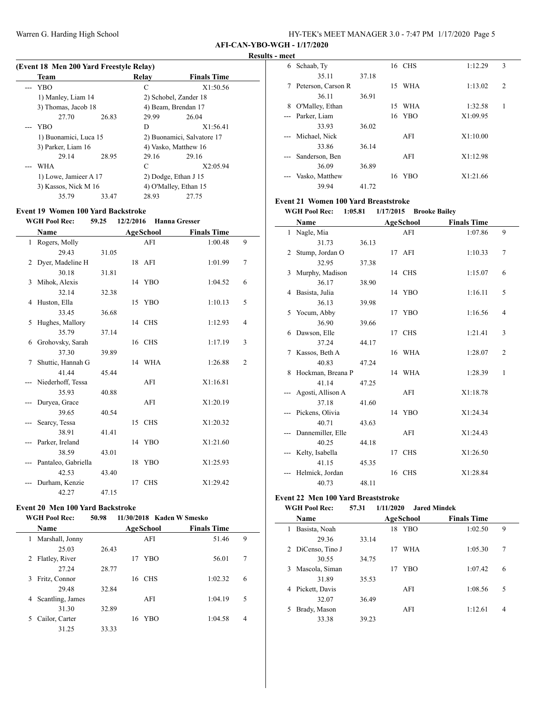|  |  | HY-TEK's MEET MANAGER 3.0 - 7:47 PM 1/17/2020 Page 5 |  |  |  |  |  |
|--|--|------------------------------------------------------|--|--|--|--|--|
|--|--|------------------------------------------------------|--|--|--|--|--|

# **Results - meet**

|  | (Event 18 Men 200 Yard Freestyle Relay)   |       |       |                            |
|--|-------------------------------------------|-------|-------|----------------------------|
|  | Team                                      |       | Relay | <b>Finals Time</b>         |
|  | --- YBO                                   |       | C     | X1:50.56                   |
|  | 1) Manley, Liam 14<br>3) Thomas, Jacob 18 |       |       | 2) Schobel, Zander 18      |
|  |                                           |       |       | 4) Beam, Brendan 17        |
|  | 27.70                                     | 26.83 | 29.99 | 26.04                      |
|  | <b>YBO</b>                                |       | D     | X1:56.41                   |
|  | 1) Buonamici, Luca 15                     |       |       | 2) Buonamici, Salvatore 17 |
|  | 3) Parker, Liam 16                        |       |       | 4) Vasko, Matthew 16       |
|  | 29.14                                     | 28.95 | 29.16 | 29.16                      |
|  | <b>WHA</b>                                |       | C     | X2:05.94                   |
|  | 1) Lowe, Jamieer A 17                     |       |       | 2) Dodge, Ethan J 15       |
|  | 3) Kassos, Nick M 16                      |       |       | 4) O'Malley, Ethan 15      |
|  | 35.79                                     | 33.47 | 28.93 | 27.75                      |

# **Event 19 Women 100 Yard Backstroke**

#### **WGH Pool Rec: 59.25 12/2/2016 Hanna Gresser**

|    | Name                |       | <b>AgeSchool</b> | <b>Finals Time</b> |                |
|----|---------------------|-------|------------------|--------------------|----------------|
|    | 1 Rogers, Molly     |       | AFI              | 1:00.48            | 9              |
|    | 29.43               | 31.05 |                  |                    |                |
| 2  | Dyer, Madeline H    |       | 18 AFI           | 1:01.99            | 7              |
|    | 30.18               | 31.81 |                  |                    |                |
| 3  | Mihok, Alexis       |       | 14 YBO           | 1:04.52            | 6              |
|    | 32.14               | 32.38 |                  |                    |                |
|    | 4 Huston, Ella      |       | 15 YBO           | 1:10.13            | 5              |
|    | 33.45               | 36.68 |                  |                    |                |
| 5. | Hughes, Mallory     |       | 14 CHS           | 1:12.93            | $\overline{4}$ |
|    | 35.79               | 37.14 |                  |                    |                |
| 6  | Grohovsky, Sarah    |       | 16 CHS           | 1:17.19            | 3              |
|    | 37.30               | 39.89 |                  |                    |                |
| 7  | Shuttic, Hannah G   |       | 14 WHA           | 1:26.88            | $\overline{2}$ |
|    | 41.44               | 45.44 |                  |                    |                |
|    | Niederhoff, Tessa   |       | AFI              | X1:16.81           |                |
|    | 35.93               | 40.88 |                  |                    |                |
|    | Duryea, Grace       |       | AFI              | X1:20.19           |                |
|    | 39.65               | 40.54 |                  |                    |                |
|    | Searcy, Tessa       |       | 15 CHS           | X1:20.32           |                |
|    | 38.91               | 41.41 |                  |                    |                |
|    | Parker, Ireland     |       | 14 YBO           | X1:21.60           |                |
|    | 38.59               | 43.01 |                  |                    |                |
|    | Pantaleo, Gabriella |       | 18 YBO           | X1:25.93           |                |
|    | 42.53               | 43.40 |                  |                    |                |
|    | Durham, Kenzie      |       | 17 CHS           | X1:29.42           |                |
|    | 42.27               | 47.15 |                  |                    |                |

# **Event 20 Men 100 Yard Backstroke**

 $\overline{a}$ 

## **WGH Pool Rec: 50.98 11/30/2018 Kaden W Smesko**

|   | Name             |       | AgeSchool        | <b>Finals Time</b> |   |  |
|---|------------------|-------|------------------|--------------------|---|--|
| 1 | Marshall, Jonny  |       | AFI              | 51.46              | 9 |  |
|   | 25.03            | 26.43 |                  |                    |   |  |
| 2 | Flatley, River   |       | <b>YBO</b><br>17 | 56.01              | 7 |  |
|   | 27.24            | 28.77 |                  |                    |   |  |
| 3 | Fritz, Connor    |       | 16 CHS           | 1:02.32            | 6 |  |
|   | 29.48            | 32.84 |                  |                    |   |  |
| 4 | Scantling, James |       | AFI              | 1:04.19            | 5 |  |
|   | 31.30            | 32.89 |                  |                    |   |  |
| 5 | Cailor, Carter   |       | <b>YBO</b><br>16 | 1:04.58            | 4 |  |
|   | 31.25            | 33.33 |                  |                    |   |  |

| 6     | Schaab, Ty         |       |    | 16 CHS     | 1:12.29  | 3              |  |
|-------|--------------------|-------|----|------------|----------|----------------|--|
|       | 35.11              | 37.18 |    |            |          |                |  |
| 7     | Peterson, Carson R |       | 15 | <b>WHA</b> | 1:13.02  | $\overline{c}$ |  |
|       | 36.11              | 36.91 |    |            |          |                |  |
| 8     | O'Malley, Ethan    |       | 15 | <b>WHA</b> | 1:32.58  | 1              |  |
| $---$ | Parker, Liam       |       |    | 16 YBO     | X1:09.95 |                |  |
|       | 33.93              | 36.02 |    |            |          |                |  |
| $---$ | Michael, Nick      |       |    | AFI        | X1:10.00 |                |  |
|       | 33.86              | 36.14 |    |            |          |                |  |
| $---$ | Sanderson, Ben     |       |    | AFI        | X1:12.98 |                |  |
|       | 36.09              | 36.89 |    |            |          |                |  |
|       | Vasko, Matthew     |       | 16 | <b>YBO</b> | X1:21.66 |                |  |
|       | 39.94              | 41.72 |    |            |          |                |  |

# **Event 21 Women 100 Yard Breaststroke**

**WGH Pool Rec: 1:05.81 1/17/2015 Brooke Bailey**

|              | Name              |       | <b>AgeSchool</b> | <b>Finals Time</b> |                |
|--------------|-------------------|-------|------------------|--------------------|----------------|
| $\mathbf{1}$ | Nagle, Mia        |       | AFI              | 1:07.86            | 9              |
|              | 31.73             | 36.13 |                  |                    |                |
| 2            | Stump, Jordan O   |       | 17 AFI           | 1:10.33            | 7              |
|              | 32.95             | 37.38 |                  |                    |                |
| 3            | Murphy, Madison   |       | 14 CHS           | 1:15.07            | 6              |
|              | 36.17             | 38.90 |                  |                    |                |
| 4            | Basista, Julia    |       | 14 YBO           | 1:16.11            | 5              |
|              | 36.13             | 39.98 |                  |                    |                |
| 5.           | Yocum, Abby       |       | 17 YBO           | 1:16.56            | 4              |
|              | 36.90             | 39.66 |                  |                    |                |
| 6            | Dawson, Elle      |       | 17 CHS           | 1:21.41            | 3              |
|              | 37.24             | 44.17 |                  |                    |                |
| 7            | Kassos, Beth A    |       | 16 WHA           | 1:28.07            | $\overline{2}$ |
|              | 40.83             | 47.24 |                  |                    |                |
| 8            | Hockman, Breana P |       | 14 WHA           | 1:28.39            | $\mathbf{1}$   |
|              | 41.14             | 47.25 |                  |                    |                |
|              | Agosti, Allison A |       | AFI              | X1:18.78           |                |
|              | 37.18             | 41.60 |                  |                    |                |
|              | Pickens, Olivia   |       | 14 YBO           | X1:24.34           |                |
|              | 40.71             | 43.63 |                  |                    |                |
|              | Dannemiller, Elle |       | AFI              | X1:24.43           |                |
|              | 40.25             | 44.18 |                  |                    |                |
|              | Kelty, Isabella   |       | 17 CHS           | X1:26.50           |                |
|              | 41.15             | 45.35 |                  |                    |                |
|              | Helmick, Jordan   |       | 16 CHS           | X1:28.84           |                |
|              | 40.73             | 48.11 |                  |                    |                |

#### **Event 22 Men 100 Yard Breaststroke**

## **WGH Pool Rec: 57.31 1/11/2020 Jared Mindek**

|   | <b>Name</b>       |       |    | AgeSchool  | <b>Finals Time</b> |   |
|---|-------------------|-------|----|------------|--------------------|---|
| 1 | Basista, Noah     |       | 18 | <b>YBO</b> | 1:02.50            | 9 |
|   | 29.36             | 33.14 |    |            |                    |   |
|   | 2 DiCenso, Tino J |       | 17 | <b>WHA</b> | 1:05.30            | 7 |
|   | 30.55             | 34.75 |    |            |                    |   |
| 3 | Mascola, Siman    |       | 17 | <b>YBO</b> | 1:07.42            | 6 |
|   | 31.89             | 35.53 |    |            |                    |   |
| 4 | Pickett, Davis    |       |    | AFI        | 1:08.56            | 5 |
|   | 32.07             | 36.49 |    |            |                    |   |
| 5 | Brady, Mason      |       |    | AFI        | 1:12.61            | 4 |
|   | 33.38             | 39.23 |    |            |                    |   |